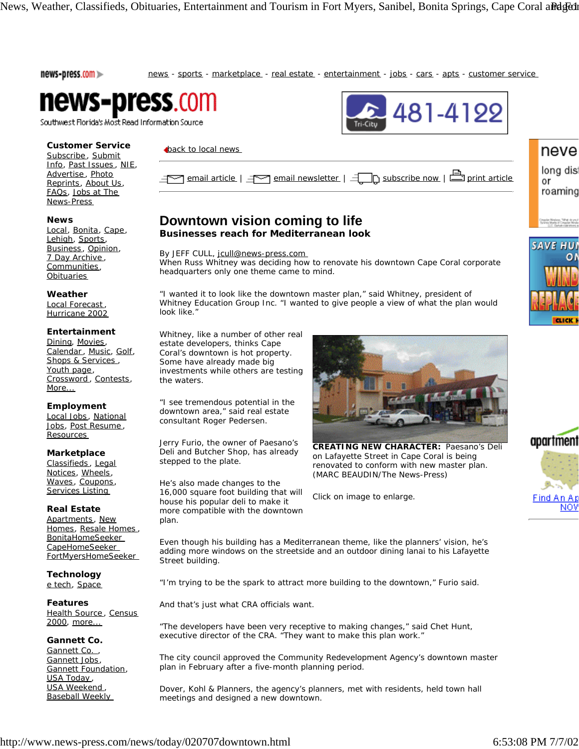news-press.com >> news - sports - marketplace - real estate - entertainment - jobs - cars - apts - customer service  $22481 - 4199$ 



Southwest Florida's Most Read Information Source

## **Customer Service**

Subscribe, Submit Info, Past Issues , NIE, Advertise, Photo Reprints, About Us, FAQs, Jobs at The News-Press

## **News**

Local, Bonita, Cape, Lehigh, Sports, Business, Opinion, 7 Day Archive , Communities, **Obituaries** 

## **Weather**

Local Forecast, Hurricane 2002

## **Entertainment**

Dining, Movies, Calendar, Music, Golf, Shops & Services, Youth page, Crossword , Contests, More...

# **Employment**

Local Jobs , National Jobs, Post Resume , Resources

# **Marketplace**

Classifieds , Legal Notices, Wheels, Waves, Coupons, Services Listing

# **Real Estate**

Apartments, New Homes, Resale Homes , BonitaHomeSeeker CapeHomeSeeker FortMyersHomeSeeker

**Technology** e tech, Space

**Features** Health Source, Census 2000, more...

# **Gannett Co.**

Gannett Co., Gannett Jobs, Gannett Foundation, USA Today, USA Weekend , Baseball Weekly

|--|--|

# **Downtown vision coming to life**

**Businesses reach for Mediterranean look**

By JEFF CULL, jcull@news-press.com

**back to local news** 

When Russ Whitney was deciding how to renovate his downtown Cape Coral corporate headquarters only one theme came to mind.

"I wanted it to look like the downtown master plan," said Whitney, president of Whitney Education Group Inc. "I wanted to give people a view of what the plan would look like."

Whitney, like a number of other real estate developers, thinks Cape Coral's downtown is hot property. Some have already made big investments while others are testing the waters.

"I see tremendous potential in the downtown area," said real estate consultant Roger Pedersen.

Jerry Furio, the owner of Paesano's Deli and Butcher Shop, has already stepped to the plate.

He's also made changes to the 16,000 square foot building that will house his popular deli to make it more compatible with the downtown plan.



**CREATING NEW CHARACTER:** Paesano's Deli on Lafayette Street in Cape Coral is being renovated to conform with new master plan. (MARC BEAUDIN/The News-Press)

*Click on image to enlarge.*



neve

long dis or roaming

**SAVE HUI** 

ο٨

**FELICK F** 

Even though his building has a Mediterranean theme, like the planners' vision, he's adding more windows on the streetside and an outdoor dining lanai to his Lafayette Street building.

"I'm trying to be the spark to attract more building to the downtown," Furio said.

And that's just what CRA officials want.

"The developers have been very receptive to making changes," said Chet Hunt, executive director of the CRA. "They want to make this plan work."

The city council approved the Community Redevelopment Agency's downtown master plan in February after a five-month planning period.

Dover, Kohl & Planners, the agency's planners, met with residents, held town hall meetings and designed a new downtown.